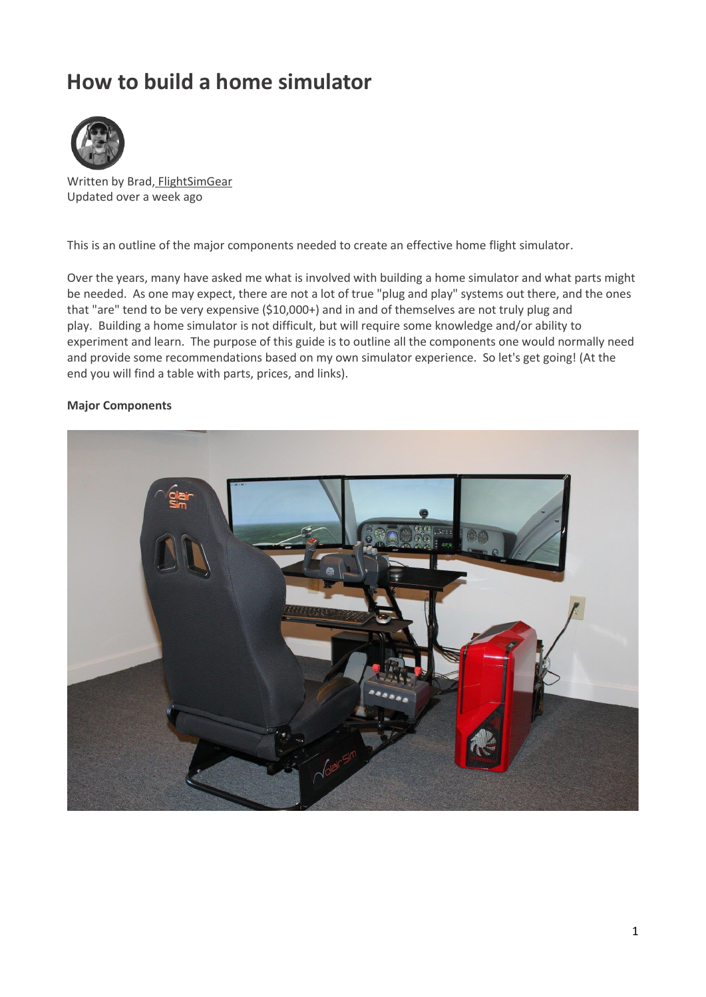# **How to build a home simulator**



Written by Brad, [FlightSimGear](http://help.realsimgear.com/en/articles/2903138-how-to-build-a-home-simulator) Updated over a week ago

This is an outline of the major components needed to create an effective home flight simulator.

Over the years, many have asked me what is involved with building a home simulator and what parts might be needed. As one may expect, there are not a lot of true "plug and play" systems out there, and the ones that "are" tend to be very expensive (\$10,000+) and in and of themselves are not truly plug and play. Building a home simulator is not difficult, but will require some knowledge and/or ability to experiment and learn. The purpose of this guide is to outline all the components one would normally need and provide some recommendations based on my own simulator experience. So let's get going! (At the end you will find a table with parts, prices, and links).

#### **Major Components**

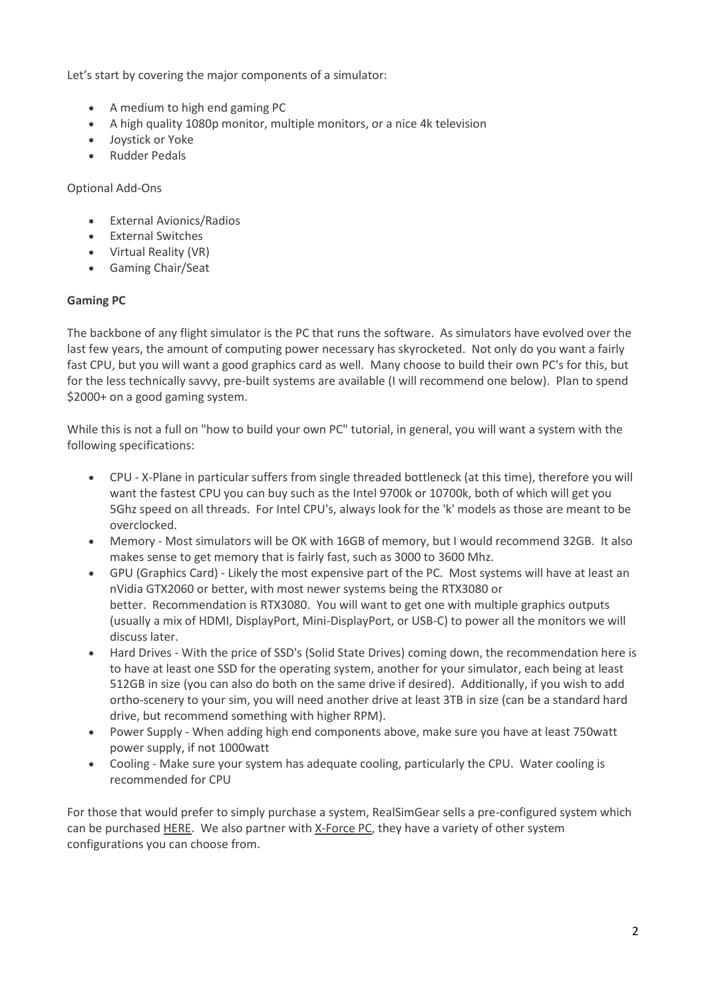Let's start by covering the major components of a simulator:

- A medium to high end gaming PC
- A high quality 1080p monitor, multiple monitors, or a nice 4k television
- Joystick or Yoke
- Rudder Pedals

Optional Add-Ons

- External Avionics/Radios
- External Switches
- Virtual Reality (VR)
- Gaming Chair/Seat

## **Gaming PC**

The backbone of any flight simulator is the PC that runs the software. As simulators have evolved over the last few years, the amount of computing power necessary has skyrocketed. Not only do you want a fairly fast CPU, but you will want a good graphics card as well. Many choose to build their own PC's for this, but for the less technically savvy, pre-built systems are available (I will recommend one below). Plan to spend \$2000+ on a good gaming system.

While this is not a full on "how to build your own PC" tutorial, in general, you will want a system with the following specifications:

- CPU X-Plane in particular suffers from single threaded bottleneck (at this time), therefore you will want the fastest CPU you can buy such as the Intel 9700k or 10700k, both of which will get you 5Ghz speed on all threads. For Intel CPU's, always look for the 'k' models as those are meant to be overclocked.
- Memory Most simulators will be OK with 16GB of memory, but I would recommend 32GB. It also makes sense to get memory that is fairly fast, such as 3000 to 3600 Mhz.
- GPU (Graphics Card) Likely the most expensive part of the PC. Most systems will have at least an nVidia GTX2060 or better, with most newer systems being the RTX3080 or better. Recommendation is RTX3080. You will want to get one with multiple graphics outputs (usually a mix of HDMI, DisplayPort, Mini-DisplayPort, or USB-C) to power all the monitors we will discuss later.
- Hard Drives With the price of SSD's (Solid State Drives) coming down, the recommendation here is to have at least one SSD for the operating system, another for your simulator, each being at least 512GB in size (you can also do both on the same drive if desired). Additionally, if you wish to add ortho-scenery to your sim, you will need another drive at least 3TB in size (can be a standard hard drive, but recommend something with higher RPM).
- Power Supply When adding high end components above, make sure you have at least 750watt power supply, if not 1000watt
- Cooling Make sure your system has adequate cooling, particularly the CPU. Water cooling is recommended for CPU

For those that would prefer to simply purchase a system, RealSimGear sells a pre-configured system which can be purchased [HERE.](https://realsimgear.com/collections/all/products/realsimgear-spec-x-force-high-end-flight-sim-pc) We also partner wit[h X-Force PC,](https://xforcepc.com/) they have a variety of other system configurations you can choose from.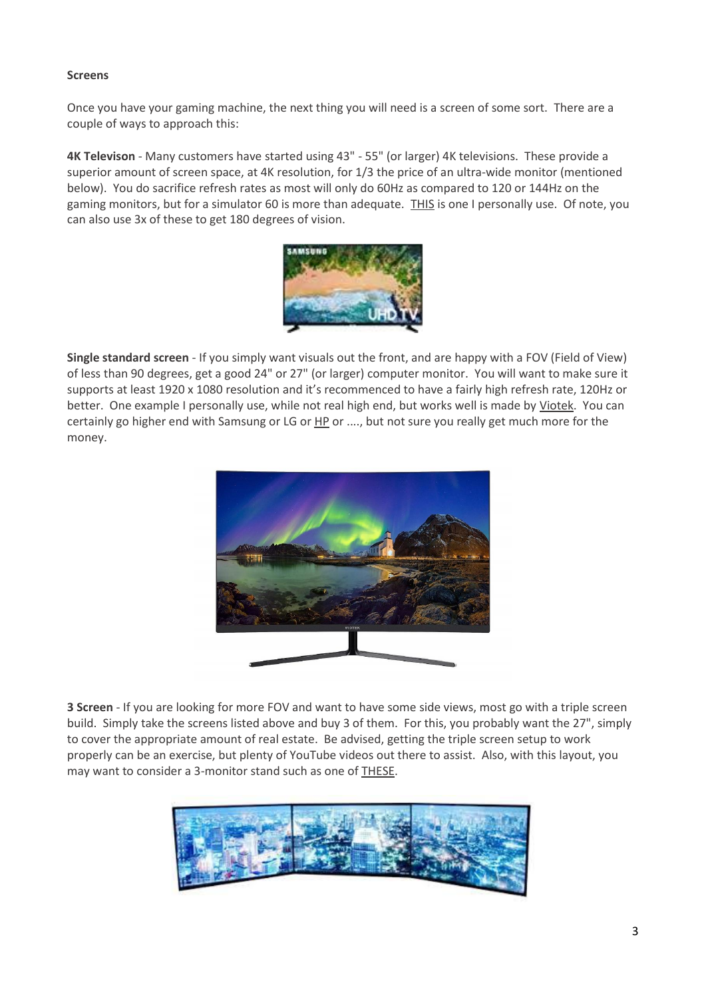## **Screens**

Once you have your gaming machine, the next thing you will need is a screen of some sort. There are a couple of ways to approach this:

**4K Televison** - Many customers have started using 43" - 55" (or larger) 4K televisions. These provide a superior amount of screen space, at 4K resolution, for 1/3 the price of an ultra-wide monitor (mentioned below). You do sacrifice refresh rates as most will only do 60Hz as compared to 120 or 144Hz on the gaming monitors, but for a simulator 60 is more than adequate. [THIS](https://www.amazon.com/Samsung-Electronics-Smart-LED-UN50NU6900FXZA/dp/B07F26ZBWT) is one I personally use. Of note, you can also use 3x of these to get 180 degrees of vision.



**Single standard screen** - If you simply want visuals out the front, and are happy with a FOV (Field of View) of less than 90 degrees, get a good 24" or 27" (or larger) computer monitor. You will want to make sure it supports at least 1920 x 1080 resolution and it's recommenced to have a fairly high refresh rate, 120Hz or better. One example I personally use, while not real high end, but works well is made by [Viotek.](https://amzn.to/2SbbKRr) You can certainly go higher end with Samsung or LG or [HP](https://store.hp.com/us/en/cv/accessories-filters?cat=xm5DJ) or ...., but not sure you really get much more for the money.



**3 Screen** - If you are looking for more FOV and want to have some side views, most go with a triple screen build. Simply take the screens listed above and buy 3 of them. For this, you probably want the 27", simply to cover the appropriate amount of real estate. Be advised, getting the triple screen setup to work properly can be an exercise, but plenty of YouTube videos out there to assist. Also, with this layout, you may want to consider a 3-monitor stand such as one of [THESE.](https://www.amazon.com/s?k=3+monitor+arm&i=electronics)

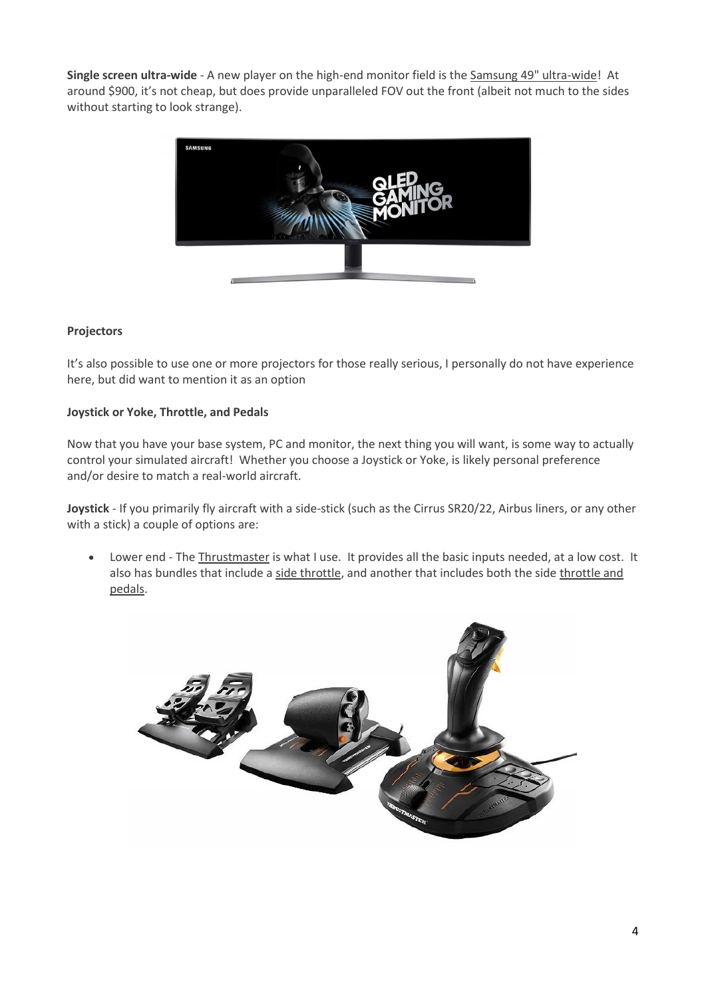**Single screen ultra-wide** - A new player on the high-end monitor field is th[e Samsung 49" ultra-wide!](https://amzn.to/2UfiRei) At around \$900, it's not cheap, but does provide unparalleled FOV out the front (albeit not much to the sides without starting to look strange).



# **Projectors**

It's also possible to use one or more projectors for those really serious, I personally do not have experience here, but did want to mention it as an option

## **Joystick or Yoke, Throttle, and Pedals**

Now that you have your base system, PC and monitor, the next thing you will want, is some way to actually control your simulated aircraft! Whether you choose a Joystick or Yoke, is likely personal preference and/or desire to match a real-world aircraft.

**Joystick** - If you primarily fly aircraft with a side-stick (such as the Cirrus SR20/22, Airbus liners, or any other with a stick) a couple of options are:

• Lower end - The [Thrustmaster](https://amzn.to/2GMvsh3) is what I use. It provides all the basic inputs needed, at a low cost. It also has bundles that include [a side throttle,](https://amzn.to/2OmvvVc) and another that includes both the side throttle and [pedals.](https://amzn.to/2GKoaKG)

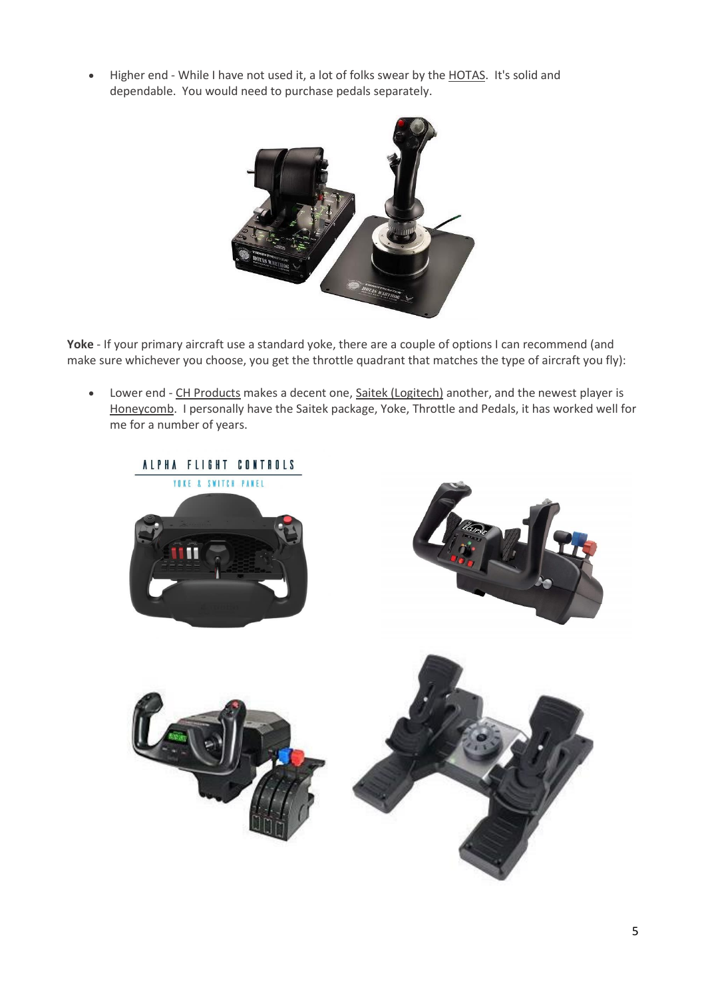• Higher end - While I have not used it, a lot of folks swear by the [HOTAS.](https://amzn.to/2GOuNf4) It's solid and dependable. You would need to purchase pedals separately.



Yoke - If your primary aircraft use a standard yoke, there are a couple of options I can recommend (and make sure whichever you choose, you get the throttle quadrant that matches the type of aircraft you fly):

• Lower end - [CH Products](https://amzn.to/2OmaklM) makes a decent one, [Saitek \(Logitech\)](https://amzn.to/37OhdnM) another, and the newest player is [Honeycomb.](https://flyhoneycomb.com/alpha-flight-control/) I personally have the Saitek package, Yoke, Throttle and Pedals, it has worked well for me for a number of years.

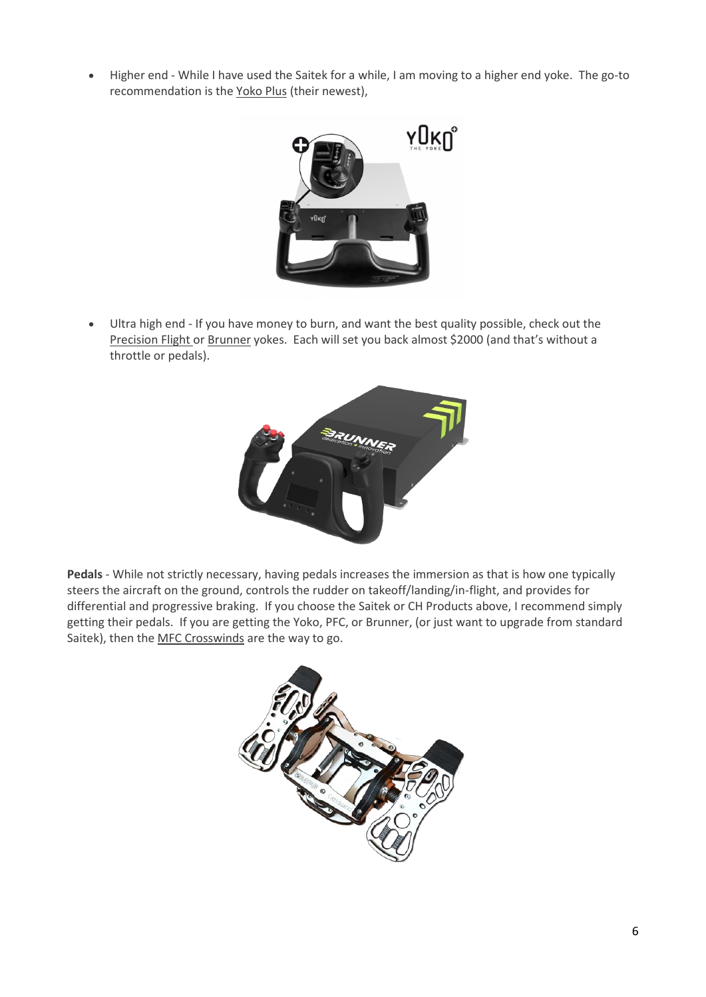• Higher end - While I have used the Saitek for a while, I am moving to a higher end yoke. The go-to recommendation is the [Yoko Plus](https://www.virtual-fly.com/shop/controls/flight-sim-yoke-yoko-the-yoke-plus?gclid=EAIaIQobChMI2Yjoo6TT4QIVnIKzCh39DwYtEAAYASABEgL1GfD_BwE) (their newest),



• Ultra high end - If you have money to burn, and want the best quality possible, check out the [Precision Flight o](https://flypfc.com/product-category/yokes/)r [Brunner](https://www.brunner-innovation.swiss/product/cls-b-ng-yoke/) yokes. Each will set you back almost \$2000 (and that's without a throttle or pedals).



**Pedals** - While not strictly necessary, having pedals increases the immersion as that is how one typically steers the aircraft on the ground, controls the rudder on takeoff/landing/in-flight, and provides for differential and progressive braking. If you choose the Saitek or CH Products above, I recommend simply getting their pedals. If you are getting the Yoko, PFC, or Brunner, (or just want to upgrade from standard Saitek), then the [MFC Crosswinds](https://mfg.simundza.com/products) are the way to go.

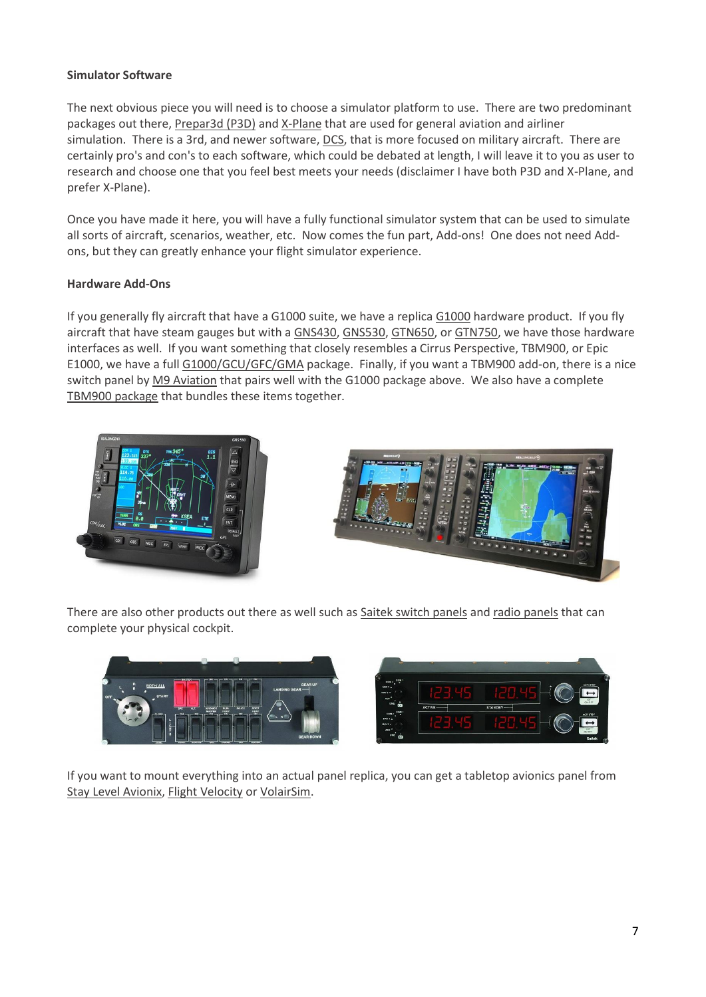# **Simulator Software**

The next obvious piece you will need is to choose a simulator platform to use. There are two predominant packages out there, [Prepar3d \(P3D\)](https://www.prepar3d.com/) an[d X-Plane](https://www.x-plane.com/) that are used for general aviation and airliner simulation. There is a 3rd, and newer software, [DCS,](https://www.digitalcombatsimulator.com/en/) that is more focused on military aircraft. There are certainly pro's and con's to each software, which could be debated at length, I will leave it to you as user to research and choose one that you feel best meets your needs (disclaimer I have both P3D and X-Plane, and prefer X-Plane).

Once you have made it here, you will have a fully functional simulator system that can be used to simulate all sorts of aircraft, scenarios, weather, etc. Now comes the fun part, Add-ons! One does not need Addons, but they can greatly enhance your flight simulator experience.

# **Hardware Add-Ons**

If you generally fly aircraft that have [a G1000](https://realsimgear.com/collections/all/products/realsimgear-g1000-suite-for-x-plane-p3d-and-fsx) suite, we have a replica G1000 hardware product. If you fly aircraft that have steam gauges but with a [GNS430,](https://realsimgear.com/collections/all/products/realsimgear-gns430-bezel-for-x-plane-realistic-gps-for-your-sim) [GNS530,](https://realsimgear.com/collections/all/products/realsimgear-garmin-gns530-replica-bezel-for-x-plane) [GTN650,](https://realsimgear.com/collections/all/products/realsimgear-gtn650-bezel-for-x-plane-p3d-and-fsx-steam) o[r GTN750,](https://realsimgear.com/collections/all/products/realsimgear-gtn750-bezel-for-x-plane-and-p3d) we have those hardware interfaces as well. If you want something that closely resembles a Cirrus Perspective, TBM900, or Epic E1000, we have a full [G1000/GCU/GFC/GMA](https://realsimgear.com/collections/all/products/g1000-cirrus-perspective-console-coming-soon) package. Finally, if you want a TBM900 add-on, there is a nice switch panel b[y M9 Aviation](https://m9aviation.com/tbm-switch-panel) that pairs well with the G1000 package above. We also have a complete [TBM900 package](https://realsimgear.com/collections/complete-setups/products/realsimgear-tbm-package) that bundles these items together.





There are also other products out there as well such as [Saitek switch panels](https://amzn.to/2UjelLK) and [radio panels](https://amzn.to/3baWGft) that can complete your physical cockpit.



If you want to mount everything into an actual panel replica, you can get a tabletop avionics panel from [Stay Level Avionix,](https://staylevelavionix.com/) [Flight Velocity](https://flightvelocity.com/) o[r VolairSim.](http://www.volairsim.com/)